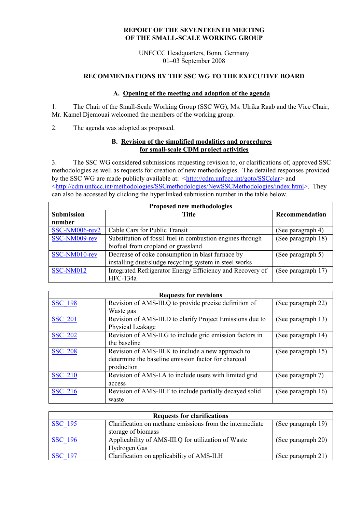### **REPORT OF THE SEVENTEENTH MEETING OF THE SMALL-SCALE WORKING GROUP**

UNFCCC Headquarters, Bonn, Germany 01–03 September 2008

# **RECOMMENDATIONS BY THE SSC WG TO THE EXECUTIVE BOARD**

### **A. Opening of the meeting and adoption of the agenda**

1. The Chair of the Small-Scale Working Group (SSC WG), Ms. Ulrika Raab and the Vice Chair, Mr. Kamel Djemouai welcomed the members of the working group.

2. The agenda was adopted as proposed.

### **B. Revision of the simplified modalities and procedures for small-scale CDM project activities**

3. The SSC WG considered submissions requesting revision to, or clarifications of, approved SSC methodologies as well as requests for creation of new methodologies. The detailed responses provided by the SSC WG are made publicly available at: <<http://cdm.unfccc.int/goto/SSCclar>> and [<http://cdm.unfccc.int/methodologies/SSCmethodologies/NewSSCMethodologies/index.html>](http://cdm.unfccc.int/methodologies/SSCmethodologies/NewSSCMethodologies/index.html). They can also be accessed by clicking the hyperlinked submission number in the table below.

| Proposed new methodologies |                                                           |                    |
|----------------------------|-----------------------------------------------------------|--------------------|
| <b>Submission</b>          | <b>Title</b>                                              | Recommendation     |
| number                     |                                                           |                    |
| SSC-NM006-rev2             | Cable Cars for Public Transit                             | (See paragraph 4)  |
| SSC-NM009-rev              | Substitution of fossil fuel in combustion engines through | (See paragraph 18) |
|                            | biofuel from cropland or grassland                        |                    |
| SSC-NM010-rev              | Decrease of coke consumption in blast furnace by          | (See paragraph 5)  |
|                            | installing dust/sludge recycling system in steel works    |                    |
| SSC-NM012                  | Integrated Refrigerator Energy Efficiency and Recovery of | (See paragraph 17) |
|                            | HFC-134a                                                  |                    |

| <b>Requests for revisions</b> |                                                           |                    |
|-------------------------------|-----------------------------------------------------------|--------------------|
| <b>SSC 198</b>                | Revision of AMS-III.Q to provide precise definition of    | (See paragraph 22) |
|                               | Waste gas                                                 |                    |
| <b>SSC 201</b>                | Revision of AMS-III.D to clarify Project Emissions due to | (See paragraph 13) |
|                               | Physical Leakage                                          |                    |
| <b>SSC 202</b>                | Revision of AMS-II.G to include grid emission factors in  | (See paragraph 14) |
|                               | the baseline                                              |                    |
| <b>SSC 208</b>                | Revision of AMS-III.K to include a new approach to        | (See paragraph 15) |
|                               | determine the baseline emission factor for charcoal       |                    |
|                               | production                                                |                    |
| <b>SSC 210</b>                | Revision of AMS-I.A to include users with limited grid    | (See paragraph 7)  |
|                               | access                                                    |                    |
| <b>SSC 216</b>                | Revision of AMS-III.F to include partially decayed solid  | (See paragraph 16) |
|                               | waste                                                     |                    |

| <b>Requests for clarifications</b> |                                                          |                    |
|------------------------------------|----------------------------------------------------------|--------------------|
| <b>SSC</b> 195                     | Clarification on methane emissions from the intermediate | (See paragraph 19) |
|                                    | storage of biomass                                       |                    |
| <b>SSC</b> 196                     | Applicability of AMS-III.Q for utilization of Waste      | (See paragraph 20) |
|                                    | Hydrogen Gas                                             |                    |
| <b>SSC</b> 197                     | Clarification on applicability of AMS-II.H               | (See paragraph 21) |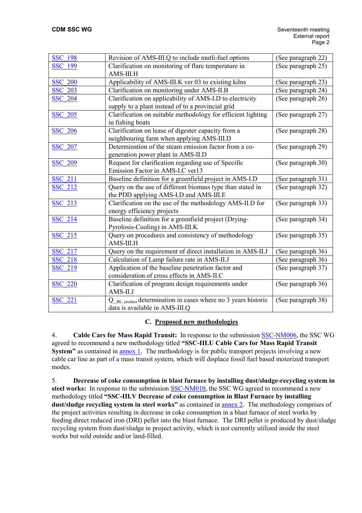| <b>SSC 198</b> | Revision of AMS-III.Q to include mutli-fuel options            | (See paragraph 22) |
|----------------|----------------------------------------------------------------|--------------------|
| <b>SSC 199</b> | Clarification on monitoring of flare temperature in            | (See paragraph 25) |
|                | AMS-III.H                                                      |                    |
| <b>SSC 200</b> | Applicability of AMS-III.K ver 03 to existing kilns            | (See paragraph 23) |
| <b>SSC 203</b> | Clarification on monitoring under AMS-II.B                     | (See paragraph 24) |
| <b>SSC 204</b> | Clarification on applicability of AMS-I.D to electricity       | (See paragraph 26) |
|                | supply to a plant instead of to a provincial grid              |                    |
| <b>SSC 205</b> | Clarification on suitable methodology for efficient lighting   | (See paragraph 27) |
|                | in fishing boats                                               |                    |
| <b>SSC 206</b> | Clarification on lease of digester capacity from a             | (See paragraph 28) |
|                | neighbouring farm when applying AMS-III.D                      |                    |
| <b>SSC 207</b> | Determination of the steam emission factor from a co-          | (See paragraph 29) |
|                | generation power plant in AMS-II.D                             |                    |
| <b>SSC 209</b> | Request for clarification regarding use of Specific            | (See paragraph 30) |
|                | Emission Factor in AMS-I.C ver13                               |                    |
| <b>SSC 211</b> | Baseline definition for a greenfield project in AMS-I.D        | (See paragraph 31) |
| <b>SSC 212</b> | Query on the use of different biomass type than stated in      | (See paragraph 32) |
|                | the PDD applying AMS-I.D and AMS-III.E                         |                    |
| <b>SSC 213</b> | Clarification on the use of the methodology AMS-II.D for       | (See paragraph 33) |
|                | energy efficiency projects                                     |                    |
| <b>SSC 214</b> | Baseline definition for a greenfield project (Drying-          | (See paragraph 34) |
|                | Pyrolosis-Cooling) in AMS-III.K                                |                    |
| SSC 215        | Query on procedures and consistency of methodology             | (See paragraph 35) |
|                | AMS-III.H                                                      |                    |
| <b>SSC 217</b> | Query on the requirement of direct installation in AMS-II.J    | (See paragraph 36) |
| <b>SSC 218</b> | Calculation of Lamp failure rate in AMS-II.J                   | (See paragraph 36) |
| <b>SSC 219</b> | Application of the baseline penetration factor and             | (See paragraph 37) |
|                | consideration of cross effects in AMS-II.C                     |                    |
| <b>SSC 220</b> | Clarification of program design requirements under             | (See paragraph 36) |
|                | AMS-II.J                                                       |                    |
| <b>SSC 221</b> | Q_BL, product determination in cases where no 3 years historic | (See paragraph 38) |
|                | data is available in AMS-III.Q                                 |                    |

### **C. Proposed new methodologies**

4. **Cable Cars for Mass Rapid Transit:** In response to the submission [SSC-NM006](https://cdm.unfccc.int/UserManagement/FileStorage/TN1RCP8XEAM06KL25YH4FIO7UJ9DG3), the SSC WG agreed to recommend a new methodology titled **"SSC-III.U Cable Cars for Mass Rapid Transit System"** as contained in <u>annex 1</u>. The methodology is for public transport projects involving a new cable car line as part of a mass transit system, which will displace fossil fuel based motorized transport modes.

5. **Decrease of coke consumption in blast furnace by installing dust/sludge-recycling system in**  steel works: In response to the submission **SSC-NM010**, the SSC WG agreed to recommend a new methodology titled **"SSC-III.V Decrease of coke consumption in Blast Furnace by installing dust/sludge recycling system in steel works"** as contained in [annex 2](https://cdm.unfccc.int/Panels/ssc_wg/meetings/017/ssc_017_an02.pdf). The methodology comprises of the project activities resulting in decrease in coke consumption in a blast furnace of steel works by feeding direct reduced iron (DRI) pellet into the blast furnace. The DRI pellet is produced by dust/sludge recycling system from dust/sludge in project activity, which is not currently utilized inside the steel works but sold outside and/or land-filled.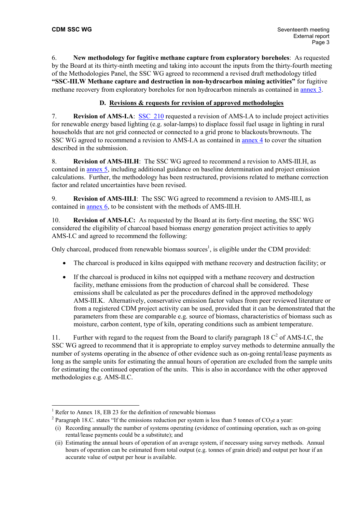6. **New methodology for fugitive methane capture from exploratory boreholes**: As requested by the Board at its thirty-ninth meeting and taking into account the inputs from the thirty-fourth meeting of the Methodologies Panel, the SSC WG agreed to recommend a revised draft methodology titled **"SSC-III.W Methane capture and destruction in non-hydrocarbon mining activities"** for fugitive methane recovery from exploratory boreholes for non hydrocarbon minerals as contained in [annex 3](https://cdm.unfccc.int/Panels/ssc_wg/meetings/017/ssc_017_an03.pdf).

# **D. Revisions & requests for revision of approved methodologies**

7. **Revision of AMS-I.A**: **SSC** 210 requested a revision of AMS-I.A to include project activities for renewable energy based lighting (e.g. solar-lamps) to displace fossil fuel usage in lighting in rural households that are not grid connected or connected to a grid prone to blackouts/brownouts. The SSC WG agreed to recommend a revision to AMS-I.A as contained in [annex 4](https://cdm.unfccc.int/Panels/ssc_wg/meetings/017/ssc_017_an04.pdf) to cover the situation described in the submission.

8. **Revision of AMS-III.H**: The SSC WG agreed to recommend a revision to AMS-III.H, as contained in [annex 5](https://cdm.unfccc.int/Panels/ssc_wg/meetings/017/ssc_017_an05.pdf), including additional guidance on baseline determination and project emission calculations. Further, the methodology has been restructured, provisions related to methane correction factor and related uncertainties have been revised.

9. **Revision of AMS-III.I**: The SSC WG agreed to recommend a revision to AMS-III.I, as contained in [annex 6](https://cdm.unfccc.int/Panels/ssc_wg/meetings/017/ssc_017_an06.pdf), to be consistent with the methods of AMS-III.H.

10. **Revision of AMS-I.C:** As requested by the Board at its forty-first meeting, the SSC WG considered the eligibility of charcoal based biomass energy generation project activities to apply AMS-I.C and agreed to recommend the following:

Only charcoal, produced from renewable biomass sources<sup>[1](#page-2-0)</sup>, is eligible under the CDM provided:

- The charcoal is produced in kilns equipped with methane recovery and destruction facility; or
- If the charcoal is produced in kilns not equipped with a methane recovery and destruction facility, methane emissions from the production of charcoal shall be considered. These emissions shall be calculated as per the procedures defined in the approved methodology AMS-III.K. Alternatively, conservative emission factor values from peer reviewed literature or from a registered CDM project activity can be used, provided that it can be demonstrated that the parameters from these are comparable e.g. source of biomass, characteristics of biomass such as moisture, carbon content, type of kiln, operating conditions such as ambient temperature.

11. Furtherwith regard to the request from the Board to clarify paragraph 18  $C<sup>2</sup>$  of AMS-I.C, the SSC WG agreed to recommend that it is appropriate to employ survey methods to determine annually the number of systems operating in the absence of other evidence such as on-going rental/lease payments as long as the sample units for estimating the annual hours of operation are excluded from the sample units for estimating the continued operation of the units. This is also in accordance with the other approved methodologies e.g. AMS-II.C.

 $\overline{a}$ 

<span id="page-2-0"></span><sup>&</sup>lt;sup>1</sup> Refer to Annex 18, EB 23 for the definition of renewable biomass

<span id="page-2-1"></span><sup>&</sup>lt;sup>2</sup> Paragraph 18.C. states "If the emissions reduction per system is less than 5 tonnes of  $CO<sub>2</sub>e$  a year:

<sup>(</sup>i) Recording annually the number of systems operating (evidence of continuing operation, such as on-going rental/lease payments could be a substitute); and

<sup>(</sup>ii) Estimating the annual hours of operation of an average system, if necessary using survey methods. Annual hours of operation can be estimated from total output (e.g. tonnes of grain dried) and output per hour if an accurate value of output per hour is available.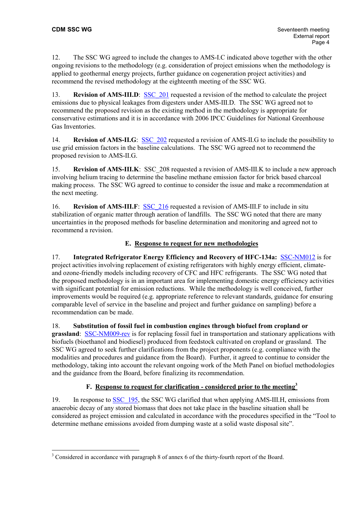12. The SSC WG agreed to include the changes to AMS-I.C indicated above together with the other ongoing revisions to the methodology (e.g. consideration of project emissions when the methodology is applied to geothermal energy projects, further guidance on cogeneration project activities) and recommend the revised methodology at the eighteenth meeting of the SSC WG.

13. **Revision of AMS-III.D:** SSC 201 requested a revision of the method to calculate the project emissions due to physical leakages from digesters under AMS-III.D. The SSC WG agreed not to recommend the proposed revision as the existing method in the methodology is appropriate for conservative estimations and it is in accordance with 2006 IPCC Guidelines for National Greenhouse Gas Inventories.

14. **Revision of AMS-II.G**: SSC 202 requested a revision of AMS-II.G to include the possibility to use grid emission factors in the baseline calculations. The SSC WG agreed not to recommend the proposed revision to AMS-II.G.

15. **Revision of AMS-III.K**: SSC 208 requested a revision of AMS-III.K to include a new approach involving helium tracing to determine the baseline methane emission factor for brick based charcoal making process. The SSC WG agreed to continue to consider the issue and make a recommendation at the next meeting.

16. **Revision of AMS-III.F**: SSC 216 requested a revision of AMS-III.F to include in situ stabilization of organic matter through aeration of landfills. The SSC WG noted that there are many uncertainties in the proposed methods for baseline determination and monitoring and agreed not to recommend a revision.

# **E. Response to request for new methodologies**

17. **Integrated Refrigerator Energy Efficiency and Recovery of HFC-134a:** [SSC-NM012](http://cdm.unfccc.int/UserManagement/FileStorage/CDMWF_UTCXFSFU2V1HWREP6C5UOEUOVHDJVQ) is for project activities involving replacement of existing refrigerators with highly energy efficient, climateand ozone-friendly models including recovery of CFC and HFC refrigerants. The SSC WG noted that the proposed methodology is in an important area for implementing domestic energy efficiency activities with significant potential for emission reductions. While the methodology is well conceived, further improvements would be required (e.g. appropriate reference to relevant standards, guidance for ensuring comparable level of service in the baseline and project and further guidance on sampling) before a recommendation can be made.

18. **Substitution of fossil fuel in combustion engines through biofuel from cropland or grassland**: [SSC-NM009-rev](https://cdm.unfccc.int/UserManagement/FileStorage/G3QJZHPIN6XAS07BKRWF5YLC18OV2U) is for replacing fossil fuel in transportation and stationary applications with biofuels (bioethanol and biodiesel) produced from feedstock cultivated on cropland or grassland. The SSC WG agreed to seek further clarifications from the project proponents (e.g. compliance with the modalities and procedures and guidance from the Board). Further, it agreed to continue to consider the methodology, taking into account the relevant ongoing work of the Meth Panel on biofuel methodologies and the guidance from the Board, before finalizing its recommendation.

# **F. Response to request for clarification - considered prior to the meeting[3](#page-3-0)**

19. In response to [SSC\\_195,](https://cdm.unfccc.int/UserManagement/FileStorage/AM_CLAR_XYBMIOPWTEQ7PV5DS5QP8YZHDIOE2B) the SSC WG clarified that when applying AMS-III.H, emissions from anaerobic decay of any stored biomass that does not take place in the baseline situation shall be considered as project emission and calculated in accordance with the procedures specified in the "Tool to determine methane emissions avoided from dumping waste at a solid waste disposal site".

<span id="page-3-0"></span><sup>&</sup>lt;sup>3</sup> Considered in accordance with paragraph 8 of annex 6 of the thirty-fourth report of the Board.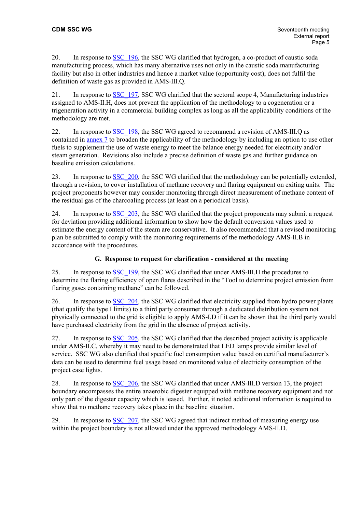20. In response to [SSC\\_196,](https://cdm.unfccc.int/UserManagement/FileStorage/AM_CLAR_ZYFUCRP4E84LY9X0SSTR9VMO7XOY8N) the SSC WG clarified that hydrogen, a co-product of caustic soda manufacturing process, which has many alternative uses not only in the caustic soda manufacturing facility but also in other industries and hence a market value (opportunity cost), does not fulfil the definition of waste gas as provided in AMS-III.Q.

21. In response to [SSC\\_197,](https://cdm.unfccc.int/UserManagement/FileStorage/AM_CLAR_70O7N7SA2OBPV2SVO6XQFZAYOY9FW3) SSC WG clarified that the sectoral scope 4, Manufacturing industries assigned to AMS-II.H, does not prevent the application of the methodology to a cogeneration or a trigeneration activity in a commercial building complex as long as all the applicability conditions of the methodology are met.

22. In response to [SSC\\_198,](https://cdm.unfccc.int/UserManagement/FileStorage/AM_CLAR_U5PP4QNWZ9CGE3V6YB2RULHK5WWDJ6) the SSC WG agreed to recommend a revision of AMS-III.Q as contained in [annex 7](https://cdm.unfccc.int/Panels/ssc_wg/meetings/017/ssc_017_an07.pdf) to broaden the applicability of the methodology by including an option to use other fuels to supplement the use of waste energy to meet the balance energy needed for electricity and/or steam generation. Revisions also include a precise definition of waste gas and further guidance on baseline emission calculations.

23. In response to SSC 200, the SSC WG clarified that the methodology can be potentially extended, through a revision, to cover installation of methane recovery and flaring equipment on exiting units. The project proponents however may consider monitoring through direct measurement of methane content of the residual gas of the charcoaling process (at least on a periodical basis).

24. In response to [SSC\\_203,](https://cdm.unfccc.int/UserManagement/FileStorage/AM_CLAR_SNCHGYRB3F06X2NFWKK07K59CDWTYA) the SSC WG clarified that the project proponents may submit a request for deviation providing additional information to show how the default conversion values used to estimate the energy content of the steam are conservative. It also recommended that a revised monitoring plan be submitted to comply with the monitoring requirements of the methodology AMS-II.B in accordance with the procedures.

# **G. Response to request for clarification - considered at the meeting**

25. In response to [SSC\\_199,](https://cdm.unfccc.int/UserManagement/FileStorage/AM_CLAR_HIOZ5CS1PASC187C0JQ668L2E9RCRJ) the SSC WG clarified that under AMS-III.H the procedures to determine the flaring efficiency of open flares described in the "Tool to determine project emission from flaring gases containing methane" can be followed.

26. In response to SSC 204, the SSC WG clarified that electricity supplied from hydro power plants (that qualify the type I limits) to a third party consumer through a dedicated distribution system not physically connected to the grid is eligible to apply AMS-I.D if it can be shown that the third party would have purchased electricity from the grid in the absence of project activity.

27. In response to SSC 205, the SSC WG clarified that the described project activity is applicable under AMS-II.C, whereby it may need to be demonstrated that LED lamps provide similar level of service. SSC WG also clarified that specific fuel consumption value based on certified manufacturer's data can be used to determine fuel usage based on monitored value of electricity consumption of the project case lights.

28. In response to SSC 206, the SSC WG clarified that under AMS-III.D version 13, the project boundary encompasses the entire anaerobic digester equipped with methane recovery equipment and not only part of the digester capacity which is leased. Further, it noted additional information is required to show that no methane recovery takes place in the baseline situation.

29. In response to SSC 207, the SSC WG agreed that indirect method of measuring energy use within the project boundary is not allowed under the approved methodology AMS-II.D.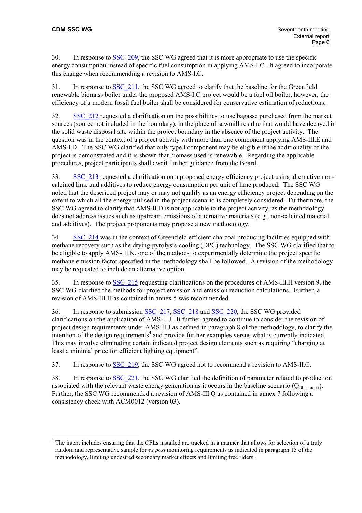$\overline{a}$ 

30. In response to SSC 209, the SSC WG agreed that it is more appropriate to use the specific energy consumption instead of specific fuel consumption in applying AMS-I.C. It agreed to incorporate this change when recommending a revision to AMS-I.C.

31. In response to [SSC\\_211,](https://cdm.unfccc.int/UserManagement/FileStorage/AM_CLAR_4N3D2LG3PTOMJCCKH2YNLCYNJLNGTB) the SSC WG agreed to clarify that the baseline for the Greenfield renewable biomass boiler under the proposed AMS-I.C project would be a fuel oil boiler, however, the efficiency of a modern fossil fuel boiler shall be considered for conservative estimation of reductions.

32. [SSC\\_212](https://cdm.unfccc.int/UserManagement/FileStorage/AM_CLAR_O52VT2ONC3CXPW3VU2IMH7YOVM1KHY) requested a clarification on the possibilities to use bagasse purchased from the market sources (source not included in the boundary), in the place of sawmill residue that would have decayed in the solid waste disposal site within the project boundary in the absence of the project activity. The question was in the context of a project activity with more than one component applying AMS-III.E and AMS-I.D. The SSC WG clarified that only type I component may be eligible if the additionality of the project is demonstrated and it is shown that biomass used is renewable. Regarding the applicable procedures, project participants shall await further guidance from the Board.

33. [SSC\\_213](http://cdm.unfccc.int/UserManagement/FileStorage/AM_CLAR_NDO7O8WJAEHG5AZHLL9ZJBI9LCDUGU) requested a clarification on a proposed energy efficiency project using alternative noncalcined lime and additives to reduce energy consumption per unit of lime produced. The SSC WG noted that the described project may or may not qualify as an energy efficiency project depending on the extent to which all the energy utilised in the project scenario is completely considered. Furthermore, the SSC WG agreed to clarify that AMS-II.D is not applicable to the project activity, as the methodology does not address issues such as upstream emissions of alternative materials (e.g., non-calcined material and additives). The project proponents may propose a new methodology.

34. [SSC\\_214](https://cdm.unfccc.int/UserManagement/FileStorage/AM_CLAR_XBB1D0HGJU884C9WY8Y0LIPWYF5OH4) was in the context of Greenfield efficient charcoal producing facilities equipped with methane recovery such as the drying-pyrolysis-cooling (DPC) technology. The SSC WG clarified that to be eligible to apply AMS-III.K, one of the methods to experimentally determine the project specific methane emission factor specified in the methodology shall be followed. A revision of the methodology may be requested to include an alternative option.

35. In response to [SSC\\_215](https://cdm.unfccc.int/UserManagement/FileStorage/AM_CLAR_GOU8KMYOIAYF1G3AMIJL6VQAYUV6E6) requesting clarifications on the procedures of AMS-III.H version 9, the SSC WG clarified the methods for project emission and emission reduction calculations. Further, a revision of AMS-III.H as contained in annex 5 was recommended.

36. In response to submission [SSC\\_217](https://cdm.unfccc.int/UserManagement/FileStorage/AM_CLAR_B9KUN9IWZOKBN8FMH2XKADIOA27K7A), [SSC\\_218](https://cdm.unfccc.int/UserManagement/FileStorage/AM_CLAR_CGJWJMJLY99B7DGK3Q371Q7WIME5V8) and [SSC\\_220,](https://cdm.unfccc.int/UserManagement/FileStorage/AM_CLAR_WWUC28ZGSKB2E5XIP85OKMQF9HE4JH) the SSC WG provided clarifications on the application of AMS-II.J. It further agreed to continue to consider the revision of project design requirements under AMS-II.J as defined in paragraph 8 of the methodology, to clarify the intention of the design requirements<sup>[4](#page-5-0)</sup> and provide further examples versus what is currently indicated. This may involve eliminating certain indicated project design elements such as requiring "charging at least a minimal price for efficient lighting equipment".

37. In response to [SSC\\_219,](https://cdm.unfccc.int/UserManagement/FileStorage/AM_CLAR_ZG5MS6BPNT182FL103O7IC5LLKJKEP) the SSC WG agreed not to recommend a revision to AMS-II.C.

38. In response to [SSC\\_221,](https://cdm.unfccc.int/UserManagement/FileStorage/AM_CLAR_RDYBAOC699HU10YW3OQUU7IBJXA3JL) the SSC WG clarified the definition of parameter related to production associated with the relevant waste energy generation as it occurs in the baseline scenario  $(Q_{BL, product})$ . Further, the SSC WG recommended a revision of AMS-III.Q as contained in annex 7 following a consistency check with ACM0012 (version 03).

<span id="page-5-0"></span><sup>&</sup>lt;sup>4</sup> The intent includes ensuring that the CFLs installed are tracked in a manner that allows for selection of a truly random and representative sample for *ex post* monitoring requirements as indicated in paragraph 15 of the methodology, limiting undesired secondary market effects and limiting free riders.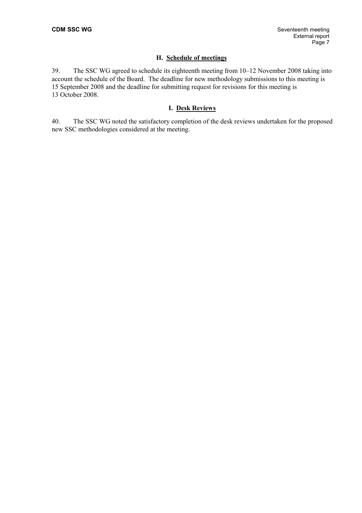### **H. Schedule of meetings**

39. The SSC WG agreed to schedule its eighteenth meeting from 10–12 November 2008 taking into account the schedule of the Board. The deadline for new methodology submissions to this meeting is 15 September 2008 and the deadline for submitting request for revisions for this meeting is 13 October 2008.

### **I. Desk Reviews**

40. The SSC WG noted the satisfactory completion of the desk reviews undertaken for the proposed new SSC methodologies considered at the meeting.